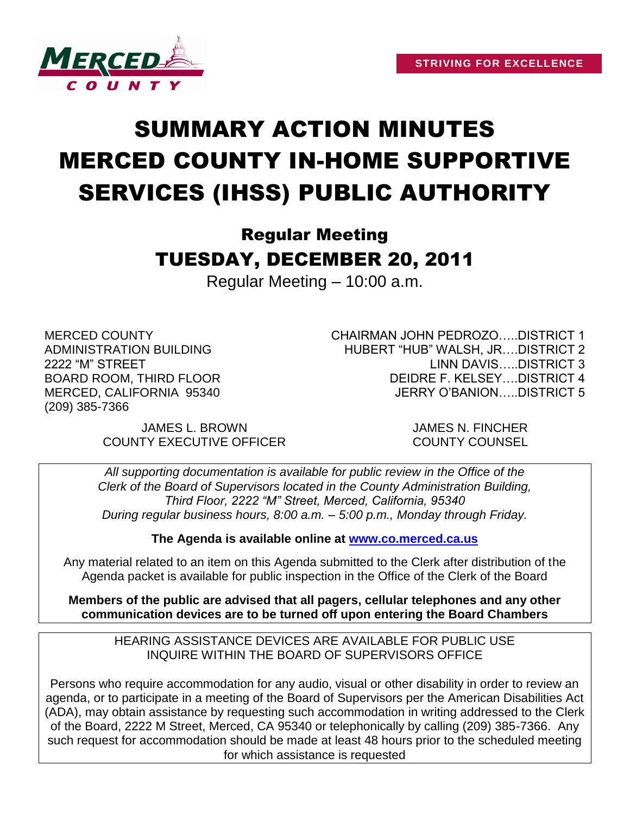

# SUMMARY ACTION MINUTES MERCED COUNTY IN-HOME SUPPORTIVE SERVICES (IHSS) PUBLIC AUTHORITY

# Regular Meeting TUESDAY, DECEMBER 20, 2011

Regular Meeting – 10:00 a.m.

MERCED COUNTY ADMINISTRATION BUILDING 2222 "M" STREET BOARD ROOM, THIRD FLOOR MERCED, CALIFORNIA 95340 (209) 385-7366

CHAIRMAN JOHN PEDROZO…..DISTRICT 1 HUBERT "HUB" WALSH, JR….DISTRICT 2 LINN DAVIS DISTRICT 3 DEIDRE F. KELSEY….DISTRICT 4 JERRY O'BANION…..DISTRICT 5

JAMES L. BROWN JAMES N. FINCHER COUNTY EXECUTIVE OFFICER COUNTY COUNSEL

*All supporting documentation is available for public review in the Office of the Clerk of the Board of Supervisors located in the County Administration Building, Third Floor, 2222 "M" Street, Merced, California, 95340 During regular business hours, 8:00 a.m. – 5:00 p.m., Monday through Friday.*

**The Agenda is available online at [www.co.merced.ca.us](http://www.co.merced.ca.us/)**

Any material related to an item on this Agenda submitted to the Clerk after distribution of the Agenda packet is available for public inspection in the Office of the Clerk of the Board

**Members of the public are advised that all pagers, cellular telephones and any other communication devices are to be turned off upon entering the Board Chambers**

HEARING ASSISTANCE DEVICES ARE AVAILABLE FOR PUBLIC USE INQUIRE WITHIN THE BOARD OF SUPERVISORS OFFICE

Persons who require accommodation for any audio, visual or other disability in order to review an agenda, or to participate in a meeting of the Board of Supervisors per the American Disabilities Act (ADA), may obtain assistance by requesting such accommodation in writing addressed to the Clerk of the Board, 2222 M Street, Merced, CA 95340 or telephonically by calling (209) 385-7366. Any such request for accommodation should be made at least 48 hours prior to the scheduled meeting for which assistance is requested